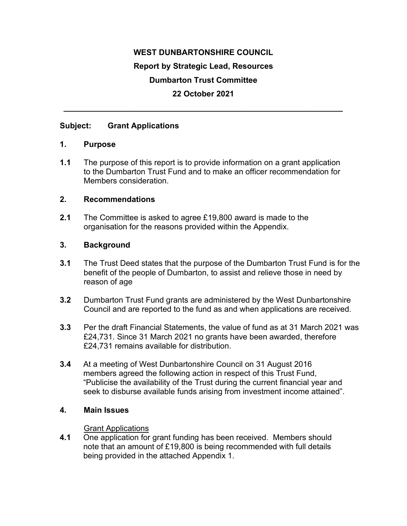# **WEST DUNBARTONSHIRE COUNCIL Report by Strategic Lead, Resources Dumbarton Trust Committee 22 October 2021**

**\_\_\_\_\_\_\_\_\_\_\_\_\_\_\_\_\_\_\_\_\_\_\_\_\_\_\_\_\_\_\_\_\_\_\_\_\_\_\_\_\_\_\_\_\_\_\_\_\_\_\_\_\_\_\_\_\_\_\_\_\_\_\_** 

### **Subject: Grant Applications**

### **1. Purpose**

**1.1** The purpose of this report is to provide information on a grant application to the Dumbarton Trust Fund and to make an officer recommendation for Members consideration.

### **2. Recommendations**

**2.1** The Committee is asked to agree £19,800 award is made to the organisation for the reasons provided within the Appendix.

### **3. Background**

- **3.1** The Trust Deed states that the purpose of the Dumbarton Trust Fund is for the benefit of the people of Dumbarton, to assist and relieve those in need by reason of age
- **3.2** Dumbarton Trust Fund grants are administered by the West Dunbartonshire Council and are reported to the fund as and when applications are received.
- **3.3** Per the draft Financial Statements, the value of fund as at 31 March 2021 was £24,731. Since 31 March 2021 no grants have been awarded, therefore £24,731 remains available for distribution.
- **3.4** At a meeting of West Dunbartonshire Council on 31 August 2016 members agreed the following action in respect of this Trust Fund, "Publicise the availability of the Trust during the current financial year and seek to disburse available funds arising from investment income attained".

### **4. Main Issues**

#### Grant Applications

**4.1** One application for grant funding has been received. Members should note that an amount of £19,800 is being recommended with full details being provided in the attached Appendix 1.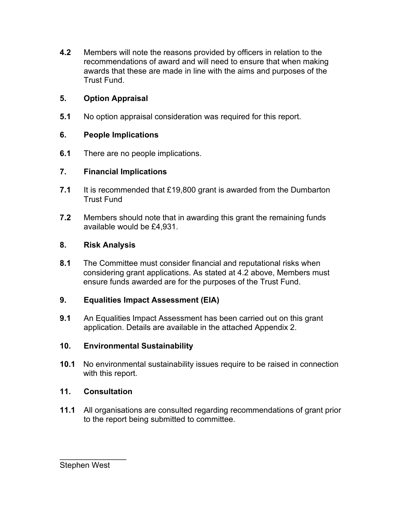**4.2** Members will note the reasons provided by officers in relation to the recommendations of award and will need to ensure that when making awards that these are made in line with the aims and purposes of the Trust Fund.

# **5. Option Appraisal**

**5.1** No option appraisal consideration was required for this report.

# **6. People Implications**

**6.1** There are no people implications.

## **7. Financial Implications**

- **7.1** It is recommended that £19,800 grant is awarded from the Dumbarton Trust Fund
- **7.2** Members should note that in awarding this grant the remaining funds available would be £4,931.

## **8. Risk Analysis**

**8.1** The Committee must consider financial and reputational risks when considering grant applications. As stated at 4.2 above, Members must ensure funds awarded are for the purposes of the Trust Fund.

# **9. Equalities Impact Assessment (EIA)**

**9.1** An Equalities Impact Assessment has been carried out on this grant application. Details are available in the attached Appendix 2.

### **10. Environmental Sustainability**

**10.1** No environmental sustainability issues require to be raised in connection with this report.

# **11. Consultation**

**11.1** All organisations are consulted regarding recommendations of grant prior to the report being submitted to committee.

Stephen West

 $\frac{1}{2}$  ,  $\frac{1}{2}$  ,  $\frac{1}{2}$  ,  $\frac{1}{2}$  ,  $\frac{1}{2}$  ,  $\frac{1}{2}$  ,  $\frac{1}{2}$